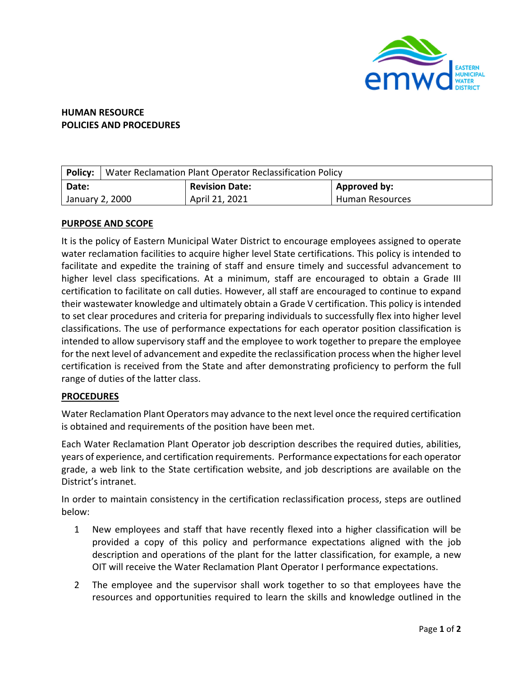

## **HUMAN RESOURCE POLICIES AND PROCEDURES**

|                 | <b>Policy:</b> Water Reclamation Plant Operator Reclassification Policy |                       |                        |
|-----------------|-------------------------------------------------------------------------|-----------------------|------------------------|
| Date:           |                                                                         | <b>Revision Date:</b> | Approved by:           |
| January 2, 2000 |                                                                         | April 21, 2021        | <b>Human Resources</b> |

## **PURPOSE AND SCOPE**

It is the policy of Eastern Municipal Water District to encourage employees assigned to operate water reclamation facilities to acquire higher level State certifications. This policy is intended to facilitate and expedite the training of staff and ensure timely and successful advancement to higher level class specifications. At a minimum, staff are encouraged to obtain a Grade III certification to facilitate on call duties. However, all staff are encouraged to continue to expand their wastewater knowledge and ultimately obtain a Grade V certification. This policy is intended to set clear procedures and criteria for preparing individuals to successfully flex into higher level classifications. The use of performance expectations for each operator position classification is intended to allow supervisory staff and the employee to work together to prepare the employee for the next level of advancement and expedite the reclassification process when the higher level certification is received from the State and after demonstrating proficiency to perform the full range of duties of the latter class.

## **PROCEDURES**

Water Reclamation Plant Operators may advance to the next level once the required certification is obtained and requirements of the position have been met.

Each Water Reclamation Plant Operator job description describes the required duties, abilities, years of experience, and certification requirements. Performance expectationsfor each operator grade, a web link to the State certification website, and job descriptions are available on the District's intranet.

In order to maintain consistency in the certification reclassification process, steps are outlined below:

- 1 New employees and staff that have recently flexed into a higher classification will be provided a copy of this policy and performance expectations aligned with the job description and operations of the plant for the latter classification, for example, a new OIT will receive the Water Reclamation Plant Operator I performance expectations.
- 2 The employee and the supervisor shall work together to so that employees have the resources and opportunities required to learn the skills and knowledge outlined in the